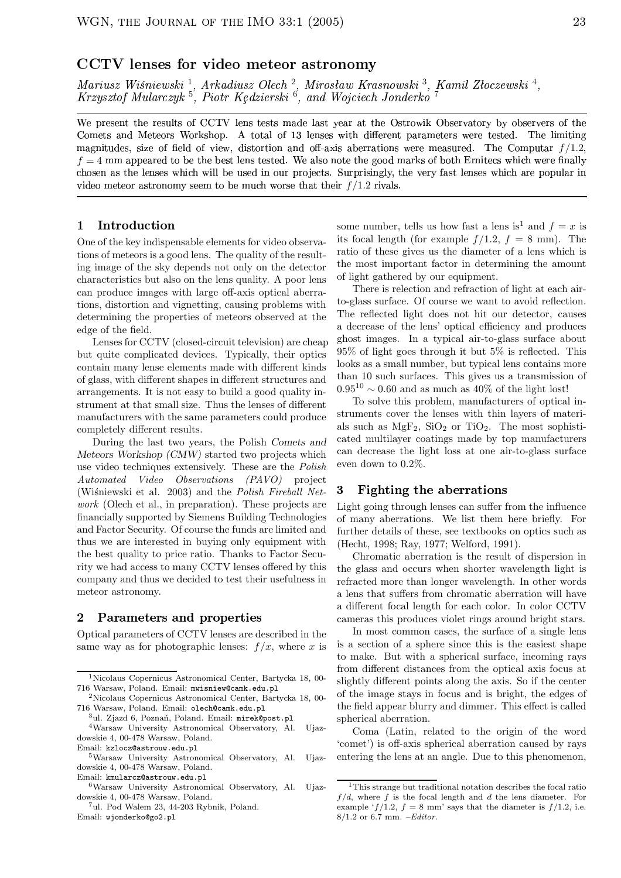Mariusz Wiśniewski<sup>1</sup>, Arkadiusz Olech<sup>2</sup>, Mirosław Krasnowski<sup>3</sup>, Kamil Złoczewski<sup>4</sup>, Krzysztof Mularczyk<sup>5</sup>, Piotr Kędzierski<sup>6</sup>, and Wojciech Jonderko<sup>7</sup>

We present the results of CCTV lens tests made last year at the Ostrowik Observatory by observers of the Comets and Meteors Workshop. A total of 13 lenses with different parameters were tested. The limiting magnitudes, size of field of view, distortion and off-axis aberrations were measured. The Computar  $f/1.2$ ,  $f = 4$  mm appeared to be the best lens tested. We also note the good marks of both Ernitecs which were finally chosen as the lenses which will be used in our projects. Surprisingly, the very fast lenses which are popular in video meteor astronomy seem to be much worse that their  $f/1.2$  rivals.

### Introduction  $\mathbf{1}$

One of the key indispensable elements for video observations of meteors is a good lens. The quality of the resulting image of the sky depends not only on the detector characteristics but also on the lens quality. A poor lens can produce images with large off-axis optical aberrations, distortion and vignetting, causing problems with determining the properties of meteors observed at the edge of the field.

Lenses for CCTV (closed-circuit television) are cheap but quite complicated devices. Typically, their optics contain many lense elements made with different kinds of glass, with different shapes in different structures and arrangements. It is not easy to build a good quality instrument at that small size. Thus the lenses of different manufacturers with the same parameters could produce completely different results.

During the last two years, the Polish Comets and Meteors Workshop (CMW) started two projects which use video techniques extensively. These are the *Polish* Automated Video Observations (PAVO) project (Wiśniewski et al. 2003) and the Polish Fireball Net*work* (Olech et al., in preparation). These projects are financially supported by Siemens Building Technologies and Factor Security. Of course the funds are limited and thus we are interested in buying only equipment with the best quality to price ratio. Thanks to Factor Security we had access to many CCTV lenses offered by this company and thus we decided to test their usefulness in meteor astronomy.

### Parameters and properties  $\overline{2}$

Optical parameters of CCTV lenses are described in the same way as for photographic lenses:  $f/x$ , where x is some number, tells us how fast a lens is<sup>1</sup> and  $f = x$  is its focal length (for example  $f/1.2$ ,  $f = 8$  mm). The ratio of these gives us the diameter of a lens which is the most important factor in determining the amount of light gathered by our equipment.

There is relection and refraction of light at each airto-glass surface. Of course we want to avoid reflection. The reflected light does not hit our detector, causes a decrease of the lens' optical efficiency and produces ghost images. In a typical air-to-glass surface about  $95\%$  of light goes through it but  $5\%$  is reflected. This looks as a small number, but typical lens contains more than 10 such surfaces. This gives us a transmission of  $0.95^{10} \sim 0.60$  and as much as 40% of the light lost!

To solve this problem, manufacturers of optical instruments cover the lenses with thin layers of materials such as  $MgF_2$ ,  $SiO_2$  or  $TiO_2$ . The most sophisticated multilayer coatings made by top manufacturers can decrease the light loss at one air-to-glass surface even down to  $0.2\%$ .

#### **Fighting the aberrations** 3

Light going through lenses can suffer from the influence of many aberrations. We list them here briefly. For further details of these, see textbooks on optics such as (Hecht, 1998; Ray, 1977; Welford, 1991).

Chromatic aberration is the result of dispersion in the glass and occurs when shorter wavelength light is refracted more than longer wavelength. In other words a lens that suffers from chromatic aberration will have a different focal length for each color. In color CCTV cameras this produces violet rings around bright stars.

In most common cases, the surface of a single lens is a section of a sphere since this is the easiest shape to make. But with a spherical surface, incoming rays from different distances from the optical axis focus at slightly different points along the axis. So if the center of the image stays in focus and is bright, the edges of the field appear blurry and dimmer. This effect is called spherical aberration.

Coma (Latin, related to the origin of the word 'comet') is off-axis spherical aberration caused by rays entering the lens at an angle. Due to this phenomenon,

<sup>&</sup>lt;sup>1</sup>Nicolaus Copernicus Astronomical Center, Bartycka 18, 00-716 Warsaw, Poland. Email: mwisniew@camk.edu.pl

<sup>&</sup>lt;sup>2</sup>Nicolaus Copernicus Astronomical Center, Bartycka 18, 00-716 Warsaw, Poland. Email: olech@camk.edu.pl

<sup>&</sup>lt;sup>3</sup>ul. Zjazd 6, Poznań, Poland. Email: mirek@post.pl

<sup>&</sup>lt;sup>4</sup>Warsaw University Astronomical Observatory, Al. Uiazdowskie 4, 00-478 Warsaw, Poland. Email: kzlocz@astrouw.edu.pl

<sup>&</sup>lt;sup>5</sup>Warsaw University Astronomical Observatory, Al. Ujazdowskie 4, 00-478 Warsaw, Poland.

Email: kmularcz@astrouw.edu.pl

<sup>&</sup>lt;sup>6</sup>Warsaw University Astronomical Observatory, Al. Uiazdowskie 4, 00-478 Warsaw, Poland.

<sup>&</sup>lt;sup>7</sup>ul. Pod Walem 23, 44-203 Rybnik, Poland. Email: wjonderko@go2.pl

<sup>&</sup>lt;sup>1</sup>This strange but traditional notation describes the focal ratio  $f/d$ , where f is the focal length and d the lens diameter. For example ' $f/1.2$ ,  $f = 8$  mm' says that the diameter is  $f/1.2$ , i.e.  $8/1.2$  or 6.7 mm. -Editor.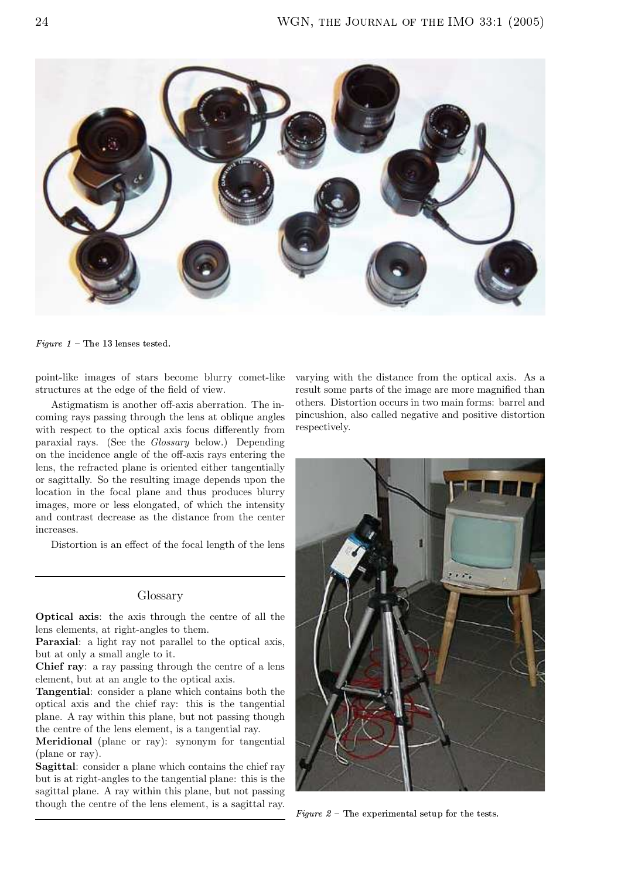

Figure  $1$  – The 13 lenses tested.

point-like images of stars become blurry comet-like structures at the edge of the field of view.

Astigmatism is another off-axis aberration. The incoming rays passing through the lens at oblique angles with respect to the optical axis focus differently from paraxial rays. (See the *Glossary* below.) Depending on the incidence angle of the off-axis rays entering the lens, the refracted plane is oriented either tangentially or sagittally. So the resulting image depends upon the location in the focal plane and thus produces blurry images, more or less elongated, of which the intensity and contrast decrease as the distance from the center increases

Distortion is an effect of the focal length of the lens

## Glossary

**Optical axis:** the axis through the centre of all the lens elements, at right-angles to them.

**Paraxial:** a light ray not parallel to the optical axis, but at only a small angle to it.

Chief ray: a ray passing through the centre of a lens element, but at an angle to the optical axis.

Tangential: consider a plane which contains both the optical axis and the chief ray: this is the tangential plane. A ray within this plane, but not passing though the centre of the lens element, is a tangential ray.

Meridional (plane or ray): synonym for tangential (plane or ray).

**Sagittal:** consider a plane which contains the chief ray but is at right-angles to the tangential plane: this is the sagittal plane. A ray within this plane, but not passing though the centre of the lens element, is a sagittal ray.

varying with the distance from the optical axis. As a result some parts of the image are more magnified than others. Distortion occurs in two main forms: barrel and pincushion, also called negative and positive distortion respectively.



Figure  $2$  – The experimental setup for the tests.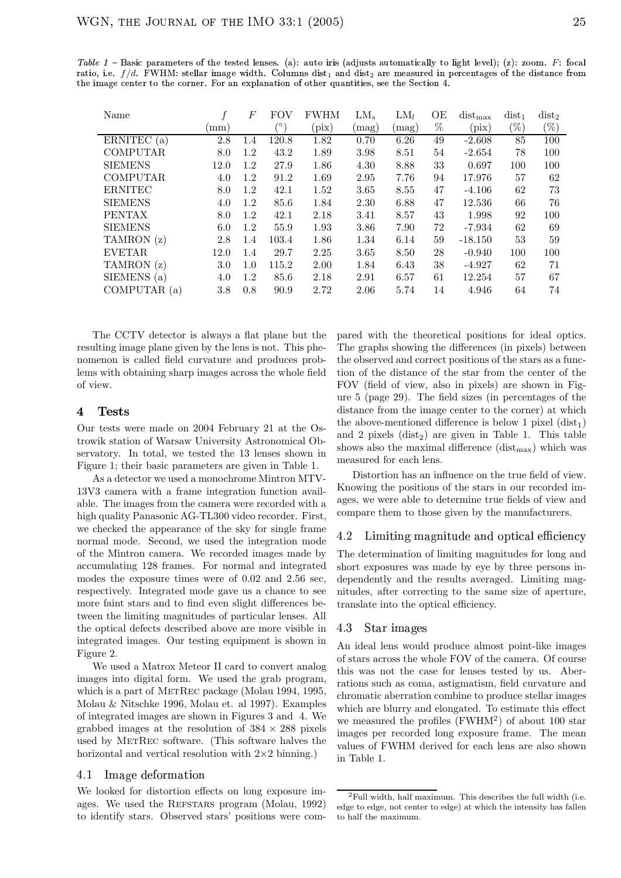| Name            |      | F       | FOV        | <b>FWHM</b>    | $LM_s$         | $LM_l$ | ОE   | $dist_{max}$ | $dist_1$ | $dist_2$ |
|-----------------|------|---------|------------|----------------|----------------|--------|------|--------------|----------|----------|
|                 | (mm) |         | $^{\circ}$ | $(\text{pix})$ | $\langle$ mag) | (mag)  | $\%$ | (pix)        | $(\%)$   | $(\%)$   |
| ERNITEC $(a)$   | 2.8  | $1.4\,$ | 120.8      | 1.82           | 0.70           | 6.26   | 49   | $-2.608$     | 85       | 100      |
| <b>COMPUTAR</b> | 8.0  | 1.2     | 43.2       | 1.89           | 3.98           | 8.51   | 54   | $-2.654$     | 78       | 100      |
| <b>SIEMENS</b>  | 12.0 | 1.2     | 27.9       | 1.86           | 4.30           | 8.88   | 33   | 0.697        | 100      | 100      |
| <b>COMPUTAR</b> | 4.0  | 1.2     | 91.2       | 1.69           | 2.95           | 7.76   | 94   | 17.976       | 57       | 62       |
| <b>ERNITEC</b>  | 8.0  | 1.2     | 42.1       | 1.52           | 3.65           | 8.55   | 47   | $-4.106$     | 62       | 73       |
| <b>SIEMENS</b>  | 4.0  | 1.2     | 85.6       | 1.84           | 2.30           | 6.88   | 47   | 12.536       | 66       | 76       |
| <b>PENTAX</b>   | 8.0  | 1.2     | 42.1       | 2.18           | 3.41           | 8.57   | 43   | 1.998        | 92       | 100      |
| <b>SIEMENS</b>  | 6.0  | 1.2     | 55.9       | 1.93           | 3.86           | 7.90   | 72   | -7.934       | 62       | 69       |
| TAMRON (z)      | 2.8  | 1.4     | 103.4      | 1.86           | 1.34           | 6.14   | 59   | $-18.150$    | 53       | 59       |
| <b>EVETAR</b>   | 12.0 | 1.4     | 29.7       | 2.25           | 3.65           | 8.50   | 28   | $-0.940$     | 100      | 100      |
| TAMRON (z)      | 3.0  | 1.0     | 115.2      | 2.00           | 1.84           | 6.43   | 38   | $-4.927$     | 62       | 71       |
| SIEMENS (a)     | 4.0  | 1.2     | 85.6       | 2.18           | 2.91           | 6.57   | 61   | 12.254       | 57       | 67       |
| COMPUTAR (a)    | 3.8  | 0.8     | 90.9       | 2.72           | 2.06           | 5.74   | 14   | 4.946        | 64       | 74       |

Table 1 - Basic parameters of the tested lenses. (a): auto iris (adjusts automatically to light level); (z): zoom. F: focal ratio, i.e.  $f/d$ . FWHM: stellar image width. Columns dist<sub>1</sub> and dist<sub>2</sub> are measured in percentages of the distance from the image center to the corner. For an explanation of other quantities, see the Section 4.

The CCTV detector is always a flat plane but the resulting image plane given by the lens is not. This phenomenon is called field curvature and produces problems with obtaining sharp images across the whole field of view.

#### $\overline{\mathbf{4}}$ **Tests**

Our tests were made on 2004 February 21 at the Ostrowik station of Warsaw University Astronomical Observatory. In total, we tested the 13 lenses shown in Figure 1; their basic parameters are given in Table 1.

As a detector we used a monochrome Mintron MTV-13V3 camera with a frame integration function available. The images from the camera were recorded with a high quality Panasonic AG-TL300 video recorder. First, we checked the appearance of the sky for single frame normal mode. Second, we used the integration mode of the Mintron camera. We recorded images made by accumulating 128 frames. For normal and integrated modes the exposure times were of  $0.02$  and  $2.56$  sec. respectively. Integrated mode gave us a chance to see more faint stars and to find even slight differences between the limiting magnitudes of particular lenses. All the optical defects described above are more visible in integrated images. Our testing equipment is shown in Figure 2.

We used a Matrox Meteor II card to convert analog images into digital form. We used the grab program, which is a part of METREC package (Molau 1994, 1995, Molau & Nitschke 1996, Molau et. al 1997). Examples of integrated images are shown in Figures 3 and 4. We erabbed images at the resolution of  $384 \times 288$  pixels used by METREC software. (This software halves the horizontal and vertical resolution with  $2 \times 2$  binning.)

#### Image deformation 4.1

We looked for distortion effects on long exposure images. We used the REFSTARS program (Molau, 1992) to identify stars. Observed stars' positions were compared with the theoretical positions for ideal optics. The graphs showing the differences (in pixels) between the observed and correct positions of the stars as a function of the distance of the star from the center of the FOV (field of view, also in pixels) are shown in Figure  $5$  (page 29). The field sizes (in percentages of the distance from the image center to the corner) at which the above-mentioned difference is below 1 pixel  $(\text{dist}_1)$ and 2 pixels  $(\text{dist}_2)$  are given in Table 1. This table shows also the maximal difference  $(dist_{max})$  which was measured for each lens.

Distortion has an influence on the true field of view. Knowing the positions of the stars in our recorded images, we were able to determine true fields of view and compare them to those given by the manufacturers.

### Limiting magnitude and optical efficiency 4.2

The determination of limiting magnitudes for long and short exposures was made by eve by three persons independently and the results averaged. Limiting magnitudes, after correcting to the same size of aperture, translate into the optical efficiency.

#### 4.3 Star images

An ideal lens would produce almost point-like images of stars across the whole FOV of the camera. Of course this was not the case for lenses tested by us. Aberrations such as coma, astigmatism, field curvature and chromatic aberration combine to produce stellar images which are blurry and elongated. To estimate this effect we measured the profiles ( $FWHM<sup>2</sup>$ ) of about 100 star images per recorded long exposure frame. The mean values of FWHM derived for each lens are also shown in Table 1.

 ${}^{2}$ Full width, half maximum. This describes the full width (i.e. edge to edge, not center to edge) at which the intensity has fallen to half the maximum.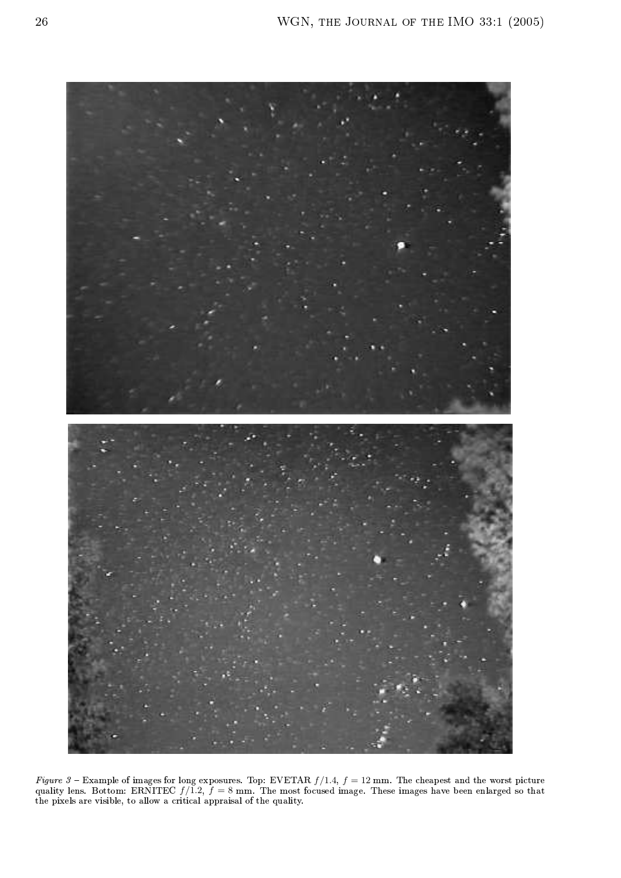

Figure 3 – Example of images for long exposures. Top: EVETAR  $f/1.4$ ,  $f = 12$  mm. The cheapest and the worst picture quality lens. Bottom: ERNITEC  $f/1.2$ ,  $f = 8$  mm. The most focused image. These images have been enlarge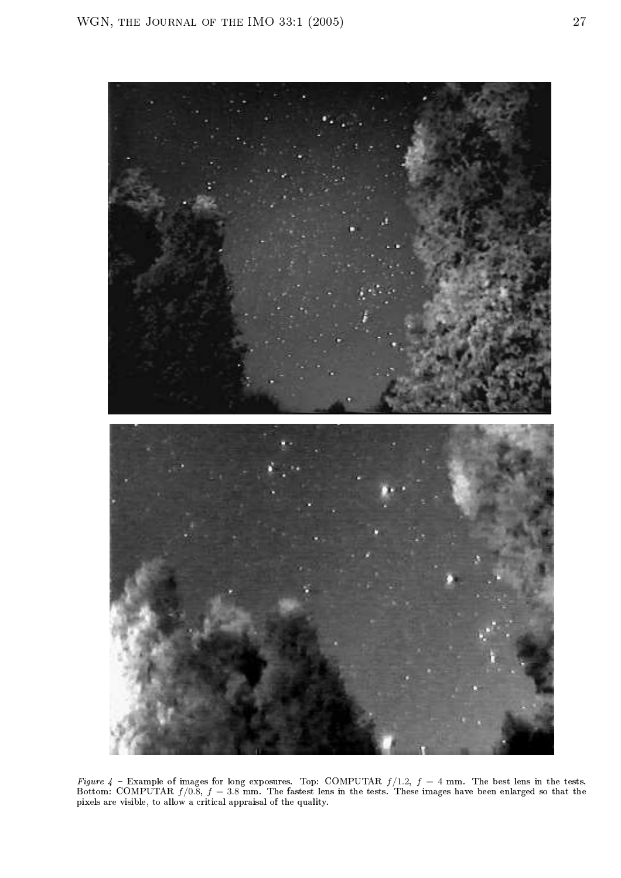

Figure 4 – Example of images for long exposures. Top: COMPUTAR  $f/1.2$ ,  $f = 4$  mm. The best lens in the tests.<br>Bottom: COMPUTAR  $f/0.8$ ,  $f = 3.8$  mm. The fastest lens in the tests. These images have been enlarged so that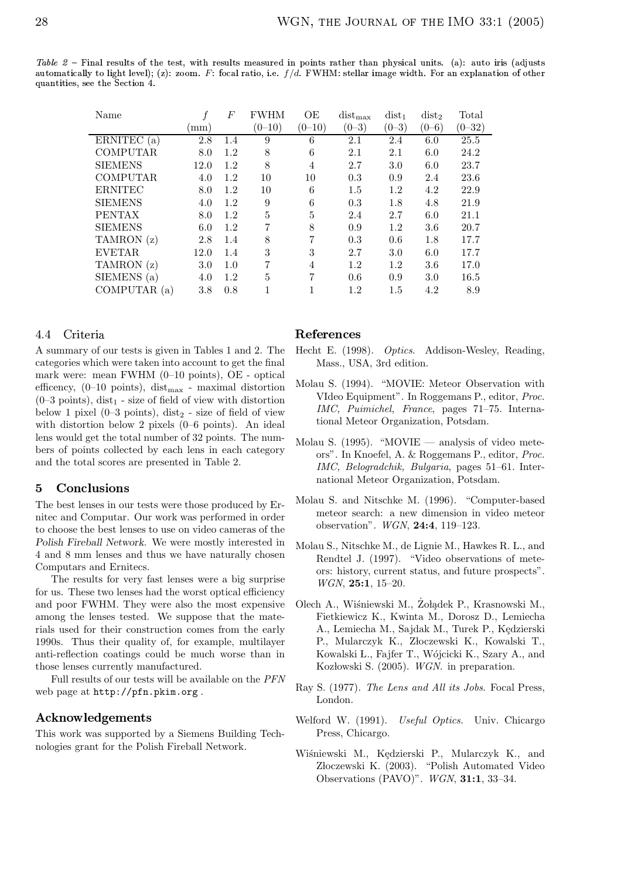**z**över hallen is beste de formation and the formation of the formation of the formation of the formation of the formation of the formation of the formation of the formation of the formation of the formation of the format automatically to light level); (z): zoom. F: focal ratio, i.e.  $f/d$ . FWHM: stellar image width. For an explanation of other quantities, see the Section 4.

| Name            |      | $\boldsymbol{F}$ | <b>FWHM</b> | ΟE         | $dist_{max}$ | $dist_1$  | dist <sub>2</sub> | Total      |
|-----------------|------|------------------|-------------|------------|--------------|-----------|-------------------|------------|
|                 | mm   |                  | $(0 - 10)$  | $(0 - 10)$ | $(0 - 3)$    | $(0 - 3)$ | $(0 - 6)$         | $(0 - 32)$ |
| ERNITEC (a)     | 2.8  | 1.4              | 9           | 6          | 2.1          | 2.4       | 6.0               | 25.5       |
| <b>COMPUTAR</b> | 8.0  | 1.2              | 8           | 6          | 2.1          | 2.1       | 6.0               | 24.2       |
| <b>SIEMENS</b>  | 12.0 | 1.2              | 8           | 4          | 2.7          | 3.0       | 6.0               | 23.7       |
| <b>COMPUTAR</b> | 4.0  | 1.2              | 10          | 10         | 0.3          | 0.9       | 2.4               | 23.6       |
| <b>ERNITEC</b>  | 8.0  | 1.2              | 10          | 6          | 1.5          | 1.2       | 4.2               | 22.9       |
| <b>SIEMENS</b>  | 4.0  | 1.2              | 9           | 6          | 0.3          | 1.8       | 4.8               | 21.9       |
| <b>PENTAX</b>   | 8.0  | 1.2              | 5           | 5          | 2.4          | 2.7       | 6.0               | 21.1       |
| <b>SIEMENS</b>  | 6.0  | 1.2              | 7           | 8          | 0.9          | 1.2       | 3.6               | 20.7       |
| TAMRON (z)      | 2.8  | 1.4              | 8           | 7          | 0.3          | 0.6       | 1.8               | 17.7       |
| <b>EVETAR</b>   | 12.0 | 1.4              | 3           | 3          | 2.7          | 3.0       | 6.0               | 17.7       |
| TAMRON(z)       | 3.0  | 1.0              | 7           | 4          | 1.2          | 1.2       | 3.6               | 17.0       |
| SIEMENS (a)     | 4.0  | 1.2              | 5           | 7          | 0.6          | 0.9       | 3.0               | $16.5\,$   |
| COMPUTAR(a)     | 3.8  | 0.8              |             |            | 1.2          | $1.5\,$   | 4.2               | 8.9        |

### 4.4 Criteria

A summary of our tests is given in Tables 1 and 2. The categories which were taken into account to get the final mark were: mean FWHM (0–10 points), OE - optical efficency,  $(0-10 \text{ points})$ , dist<sub>max</sub> - maximal distortion  $(0-3 \text{ points})$ , dist<sub>1</sub> - size of field of view with distortion below 1 pixel  $(0-3 \text{ points})$ , dist<sub>2</sub> - size of field of view with distortion below 2 pixels (0–6 points). An ideal lens would get the total number of 32 points. The numbers of points collected by each lens in each category and the total scores are presented in Table 2.

# 5 Conclusions

The best lenses in our tests were those produced by Ernitec and Computar. Our work was performed in order to choose the best lenses to use on video cameras of the Polish Fireball Network. We were mostly interested in 4 and 8 mm lenses and thus we have naturally chosen Computars and Ernitecs.

The results for very fast lenses were a big surprise for us. These two lenses had the worst optical efficiency and poor FWHM. They were also the most expensive among the lenses tested. We suppose that the materials used for their construction comes from the early 1990s. Thus their quality of, for example, multilayer anti-reflection coatings could be much worse than in those lenses currently manufactured.

Full results of our tests will be available on the PFN web page at http://pfn.pkim.org .

# Acknowledgements

This work was supported by a Siemens Building Technologies grant for the Polish Fireball Network.

# References

- Hecht E. (1998). Optics. Addison-Wesley, Reading, Mass., USA, 3rd edition.
- Molau S. (1994). "MOVIE: Meteor Observation with VIdeo Equipment". In Roggemans P., editor, Proc. IMC, Puimichel, France, pages 71–75. International Meteor Organization, Potsdam.
- Molau S.  $(1995)$ . "MOVIE analysis of video meteors". In Knoefel, A. & Roggemans P., editor, Proc. IMC, Belogradchik, Bulgaria, pages 51–61. International Meteor Organization, Potsdam.
- Molau S. and Nitschke M. (1996). "Computer-based meteor search: a new dimension in video meteor observation". WGN, 24:4, 119–123.
- Molau S., Nitschke M., de Lignie M., Hawkes R. L., and Rendtel J. (1997). "Video observations of meteors: history, current status, and future prospects". WGN, 25:1, 15–20.
- Olech A., Wiśniewski M., Żołądek P., Krasnowski M., Fietkiewicz K., Kwinta M., Dorosz D., Lemiecha A., Lemiecha M., Sajdak M., Turek P., Kedzierski P., Mularczyk K., Złoczewski K., Kowalski T., Kowalski L., Fajfer T., Wójcicki K., Szary A., and Kozłowski S. (2005). WGN. in preparation.
- Ray S. (1977). The Lens and All its Jobs. Focal Press, London.
- Welford W. (1991). Useful Optics. Univ. Chicargo Press, Chicargo.
- Wiśniewski M., Kędzierski P., Mularczyk K., and Złoczewski K. (2003). "Polish Automated Video Observations (PAVO)". WGN, 31:1, 33–34.